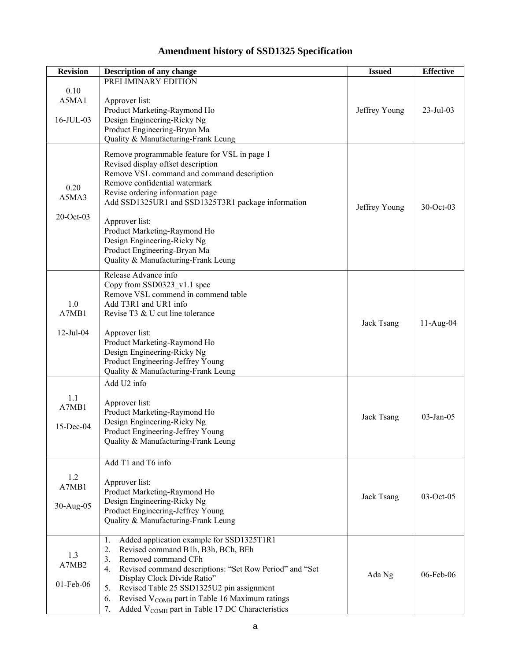# **Amendment history of SSD1325 Specification**

| <b>Revision</b>               | <b>Description of any change</b>                                                                                                                                                                                                                                                                                                                                                                                     | <b>Issued</b> | <b>Effective</b> |
|-------------------------------|----------------------------------------------------------------------------------------------------------------------------------------------------------------------------------------------------------------------------------------------------------------------------------------------------------------------------------------------------------------------------------------------------------------------|---------------|------------------|
| 0.10<br>A5MA1<br>$16$ -JUL-03 | PRELIMINARY EDITION<br>Approver list:<br>Product Marketing-Raymond Ho<br>Design Engineering-Ricky Ng<br>Product Engineering-Bryan Ma<br>Quality & Manufacturing-Frank Leung                                                                                                                                                                                                                                          | Jeffrey Young | $23$ -Jul-03     |
| 0.20<br>A5MA3<br>20-Oct-03    | Remove programmable feature for VSL in page 1<br>Revised display offset description<br>Remove VSL command and command description<br>Remove confidential watermark<br>Revise ordering information page<br>Add SSD1325UR1 and SSD1325T3R1 package information<br>Approver list:<br>Product Marketing-Raymond Ho<br>Design Engineering-Ricky Ng<br>Product Engineering-Bryan Ma<br>Quality & Manufacturing-Frank Leung | Jeffrey Young | 30-Oct-03        |
| 1.0<br>A7MB1<br>$12$ -Jul-04  | Release Advance info<br>Copy from SSD0323 v1.1 spec<br>Remove VSL commend in commend table<br>Add T3R1 and UR1 info<br>Revise T3 & U cut line tolerance<br>Approver list:<br>Product Marketing-Raymond Ho<br>Design Engineering-Ricky Ng<br>Product Engineering-Jeffrey Young<br>Quality & Manufacturing-Frank Leung                                                                                                 | Jack Tsang    | $11-Aug-04$      |
| 1.1<br>A7MB1<br>15-Dec-04     | Add U2 info<br>Approver list:<br>Product Marketing-Raymond Ho<br>Design Engineering-Ricky Ng<br>Product Engineering-Jeffrey Young<br>Quality & Manufacturing-Frank Leung                                                                                                                                                                                                                                             | Jack Tsang    | 03-Jan-05        |
| 1.2<br>A7MB1<br>30-Aug-05     | Add T1 and T6 info<br>Approver list:<br>Product Marketing-Raymond Ho<br>Design Engineering-Ricky Ng<br>Product Engineering-Jeffrey Young<br>Quality & Manufacturing-Frank Leung                                                                                                                                                                                                                                      | Jack Tsang    | $03-Oct-05$      |
| 1.3<br>A7MB2<br>$01$ -Feb-06  | Added application example for SSD1325T1R1<br>1.<br>Revised command B1h, B3h, BCh, BEh<br>2.<br>Removed command CFh<br>3.<br>Revised command descriptions: "Set Row Period" and "Set<br>4.<br>Display Clock Divide Ratio"<br>5.<br>Revised Table 25 SSD1325U2 pin assignment<br>Revised V <sub>COMH</sub> part in Table 16 Maximum ratings<br>6.<br>Added V <sub>COMH</sub> part in Table 17 DC Characteristics<br>7. | Ada Ng        | 06-Feb-06        |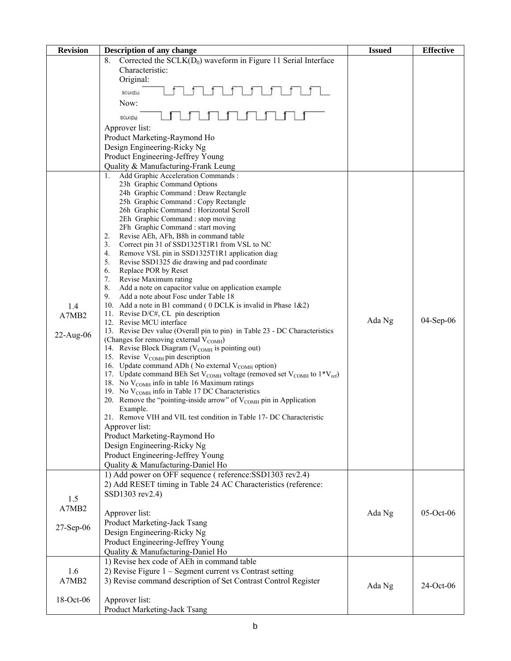| <b>Revision</b> | <b>Description of any change</b>                                                                                                                               | <b>Issued</b> | <b>Effective</b> |
|-----------------|----------------------------------------------------------------------------------------------------------------------------------------------------------------|---------------|------------------|
|                 | Corrected the $SCLK(D0)$ waveform in Figure 11 Serial Interface<br>8.                                                                                          |               |                  |
|                 | Characteristic:                                                                                                                                                |               |                  |
|                 | Original:                                                                                                                                                      |               |                  |
|                 | <b>SCUKIDA</b>                                                                                                                                                 |               |                  |
|                 | Now:                                                                                                                                                           |               |                  |
|                 | SCLK(Da)                                                                                                                                                       |               |                  |
|                 |                                                                                                                                                                |               |                  |
|                 | Approver list:<br>Product Marketing-Raymond Ho                                                                                                                 |               |                  |
|                 | Design Engineering-Ricky Ng                                                                                                                                    |               |                  |
|                 | Product Engineering-Jeffrey Young                                                                                                                              |               |                  |
|                 | Quality & Manufacturing-Frank Leung                                                                                                                            |               |                  |
|                 | Add Graphic Acceleration Commands:<br>1.                                                                                                                       |               |                  |
|                 | 23h Graphic Command Options                                                                                                                                    |               |                  |
|                 | 24h Graphic Command: Draw Rectangle                                                                                                                            |               |                  |
|                 | 25h Graphic Command: Copy Rectangle                                                                                                                            |               |                  |
|                 | 26h Graphic Command : Horizontal Scroll                                                                                                                        |               |                  |
|                 | 2Eh Graphic Command : stop moving                                                                                                                              |               |                  |
|                 | 2Fh Graphic Command : start moving<br>2.                                                                                                                       |               |                  |
|                 | Revise AEh, AFh, B8h in command table<br>3.<br>Correct pin 31 of SSD1325T1R1 from VSL to NC                                                                    |               |                  |
|                 | 4.<br>Remove VSL pin in SSD1325T1R1 application diag                                                                                                           |               |                  |
|                 | 5.<br>Revise SSD1325 die drawing and pad coordinate                                                                                                            |               |                  |
|                 | Replace POR by Reset<br>6.                                                                                                                                     |               |                  |
|                 | 7.<br>Revise Maximum rating                                                                                                                                    |               |                  |
|                 | 8.<br>Add a note on capacitor value on application example                                                                                                     |               |                  |
|                 | Add a note about Fosc under Table 18<br>9.                                                                                                                     |               |                  |
| 1.4             | 10. Add a note in B1 command ( $0$ DCLK is invalid in Phase $1&(2)$ )                                                                                          |               |                  |
| A7MB2           | 11. Revise D/C#, CL pin description                                                                                                                            |               |                  |
|                 | 12. Revise MCU interface                                                                                                                                       | Ada Ng        | 04-Sep-06        |
| 22-Aug-06       | 13. Revise Dev value (Overall pin to pin) in Table 23 - DC Characteristics                                                                                     |               |                  |
|                 | (Changes for removing external V <sub>COMH</sub> )                                                                                                             |               |                  |
|                 | 14. Revise Block Diagram ( $V_{COMH}$ is pointing out)                                                                                                         |               |                  |
|                 | 15. Revise $V_{COMH}$ pin description                                                                                                                          |               |                  |
|                 | 16. Update command ADh (No external $V_{COMH}$ option)<br>17. Update command BEh Set V <sub>COMH</sub> voltage (removed set V <sub>COMH</sub> to $1*V_{ref}$ ) |               |                  |
|                 | 18. No $V_{COMH}$ info in table 16 Maximum ratings                                                                                                             |               |                  |
|                 | 19. No $V_{COMH}$ info in Table 17 DC Characteristics                                                                                                          |               |                  |
|                 | 20. Remove the "pointing-inside arrow" of $V_{COMH}$ pin in Application                                                                                        |               |                  |
|                 | Example.                                                                                                                                                       |               |                  |
|                 | 21. Remove VIH and VII, test condition in Table 17- DC Characteristic                                                                                          |               |                  |
|                 | Approver list:                                                                                                                                                 |               |                  |
|                 | Product Marketing-Raymond Ho                                                                                                                                   |               |                  |
|                 | Design Engineering-Ricky Ng                                                                                                                                    |               |                  |
|                 | Product Engineering-Jeffrey Young                                                                                                                              |               |                  |
|                 | Quality & Manufacturing-Daniel Ho                                                                                                                              |               |                  |
|                 | 1) Add power on OFF sequence (reference: SSD1303 rev2.4)                                                                                                       |               |                  |
|                 | 2) Add RESET timing in Table 24 AC Characteristics (reference:                                                                                                 |               |                  |
| 1.5             | SSD1303 rev2.4)                                                                                                                                                |               |                  |
| A7MB2           |                                                                                                                                                                |               |                  |
|                 | Approver list:                                                                                                                                                 | Ada Ng        | $05$ -Oct-06     |
| $27-Sep-06$     | Product Marketing-Jack Tsang                                                                                                                                   |               |                  |
|                 | Design Engineering-Ricky Ng                                                                                                                                    |               |                  |
|                 | Product Engineering-Jeffrey Young                                                                                                                              |               |                  |
|                 | Quality & Manufacturing-Daniel Ho                                                                                                                              |               |                  |
|                 | 1) Revise hex code of AEh in command table                                                                                                                     |               |                  |
| 1.6             | 2) Revise Figure $1 -$ Segment current vs Contrast setting                                                                                                     |               |                  |
| A7MB2           | 3) Revise command description of Set Contrast Control Register                                                                                                 |               |                  |
|                 |                                                                                                                                                                | Ada Ng        | $24-Oct-06$      |
| 18-Oct-06       | Approver list:                                                                                                                                                 |               |                  |
|                 | Product Marketing-Jack Tsang                                                                                                                                   |               |                  |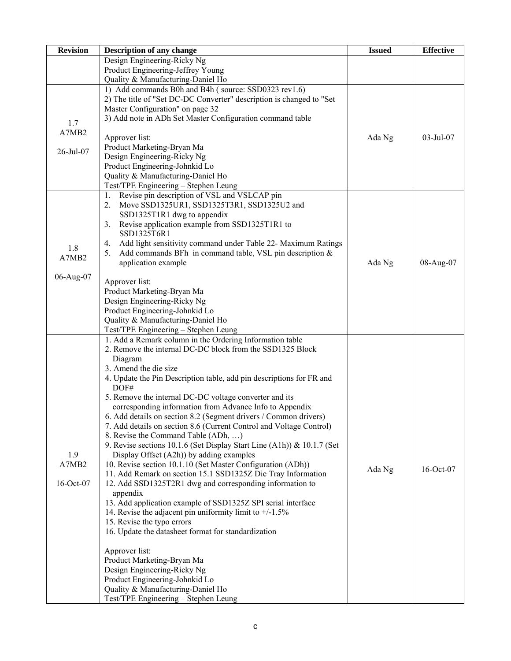| <b>Revision</b> | <b>Description of any change</b>                                                                              | <b>Issued</b> | <b>Effective</b> |
|-----------------|---------------------------------------------------------------------------------------------------------------|---------------|------------------|
|                 | Design Engineering-Ricky Ng                                                                                   |               |                  |
|                 | Product Engineering-Jeffrey Young                                                                             |               |                  |
|                 | Quality & Manufacturing-Daniel Ho                                                                             |               |                  |
|                 | 1) Add commands B0h and B4h (source: SSD0323 rev1.6)                                                          |               |                  |
|                 | 2) The title of "Set DC-DC Converter" description is changed to "Set                                          |               |                  |
|                 | Master Configuration" on page 32                                                                              |               |                  |
| 1.7             | 3) Add note in ADh Set Master Configuration command table                                                     |               |                  |
| A7MB2           | Approver list:                                                                                                | Ada Ng        | 03-Jul-07        |
|                 | Product Marketing-Bryan Ma                                                                                    |               |                  |
| 26-Jul-07       | Design Engineering-Ricky Ng                                                                                   |               |                  |
|                 | Product Engineering-Johnkid Lo                                                                                |               |                  |
|                 | Quality & Manufacturing-Daniel Ho                                                                             |               |                  |
|                 | Test/TPE Engineering - Stephen Leung                                                                          |               |                  |
|                 | Revise pin description of VSL and VSLCAP pin<br>1.                                                            |               |                  |
|                 | Move SSD1325UR1, SSD1325T3R1, SSD1325U2 and<br>2.                                                             |               |                  |
|                 | SSD1325T1R1 dwg to appendix                                                                                   |               |                  |
|                 | Revise application example from SSD1325T1R1 to<br>3.<br>SSD1325T6R1                                           |               |                  |
|                 | Add light sensitivity command under Table 22- Maximum Ratings<br>4.                                           |               |                  |
| 1.8             | Add commands BFh in command table, VSL pin description $\&$<br>5.                                             |               |                  |
| A7MB2           | application example                                                                                           | Ada Ng        | 08-Aug-07        |
|                 |                                                                                                               |               |                  |
| 06-Aug-07       | Approver list:                                                                                                |               |                  |
|                 | Product Marketing-Bryan Ma                                                                                    |               |                  |
|                 | Design Engineering-Ricky Ng                                                                                   |               |                  |
|                 | Product Engineering-Johnkid Lo                                                                                |               |                  |
|                 | Quality & Manufacturing-Daniel Ho                                                                             |               |                  |
|                 | Test/TPE Engineering - Stephen Leung<br>1. Add a Remark column in the Ordering Information table              |               |                  |
|                 | 2. Remove the internal DC-DC block from the SSD1325 Block                                                     |               |                  |
|                 | Diagram                                                                                                       |               |                  |
|                 | 3. Amend the die size                                                                                         |               |                  |
|                 | 4. Update the Pin Description table, add pin descriptions for FR and                                          |               |                  |
|                 | DOF#                                                                                                          |               |                  |
|                 | 5. Remove the internal DC-DC voltage converter and its                                                        |               |                  |
|                 | corresponding information from Advance Info to Appendix                                                       |               |                  |
|                 | 6. Add details on section 8.2 (Segment drivers / Common drivers)                                              |               |                  |
|                 | 7. Add details on section 8.6 (Current Control and Voltage Control)                                           |               |                  |
|                 | 8. Revise the Command Table (ADh, )<br>9. Revise sections 10.1.6 (Set Display Start Line (A1h)) & 10.1.7 (Set |               |                  |
| 1.9             | Display Offset (A2h)) by adding examples                                                                      |               |                  |
| A7MB2           | 10. Revise section 10.1.10 (Set Master Configuration (ADh))                                                   |               |                  |
|                 | 11. Add Remark on section 15.1 SSD1325Z Die Tray Information                                                  | Ada Ng        | $16$ -Oct-07     |
| 16-Oct-07       | 12. Add SSD1325T2R1 dwg and corresponding information to                                                      |               |                  |
|                 | appendix                                                                                                      |               |                  |
|                 | 13. Add application example of SSD1325Z SPI serial interface                                                  |               |                  |
|                 | 14. Revise the adjacent pin uniformity limit to $+/-1.5\%$                                                    |               |                  |
|                 | 15. Revise the typo errors                                                                                    |               |                  |
|                 | 16. Update the datasheet format for standardization                                                           |               |                  |
|                 |                                                                                                               |               |                  |
|                 | Approver list:<br>Product Marketing-Bryan Ma                                                                  |               |                  |
|                 | Design Engineering-Ricky Ng                                                                                   |               |                  |
|                 | Product Engineering-Johnkid Lo                                                                                |               |                  |
|                 | Quality & Manufacturing-Daniel Ho                                                                             |               |                  |
|                 | Test/TPE Engineering - Stephen Leung                                                                          |               |                  |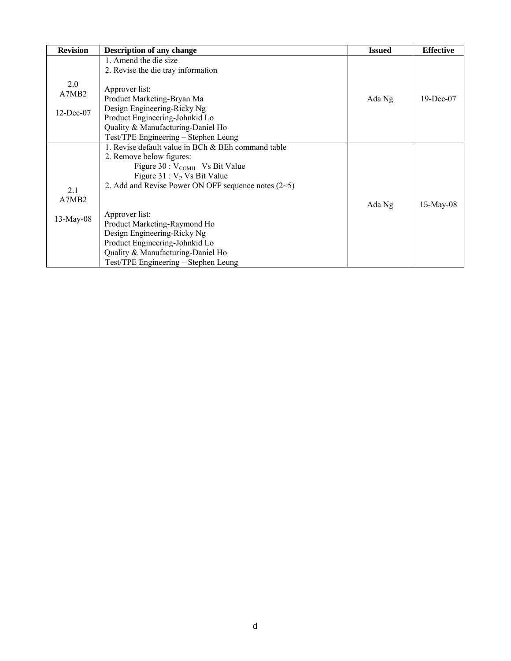| <b>Revision</b>              | <b>Description of any change</b>                                                                                                                                                                                                                                                                                                                                                                                 | <b>Issued</b> | <b>Effective</b> |
|------------------------------|------------------------------------------------------------------------------------------------------------------------------------------------------------------------------------------------------------------------------------------------------------------------------------------------------------------------------------------------------------------------------------------------------------------|---------------|------------------|
|                              | 1. Amend the die size                                                                                                                                                                                                                                                                                                                                                                                            |               |                  |
|                              | 2. Revise the die tray information                                                                                                                                                                                                                                                                                                                                                                               |               |                  |
| 2.0<br>A7MB2<br>12-Dec-07    | Approver list:<br>Product Marketing-Bryan Ma<br>Design Engineering-Ricky Ng<br>Product Engineering-Johnkid Lo<br>Quality & Manufacturing-Daniel Ho<br>Test/TPE Engineering - Stephen Leung                                                                                                                                                                                                                       | Ada Ng        | $19$ -Dec-07     |
| 2.1<br>A7MB2<br>$13$ -May-08 | 1. Revise default value in BCh & BEh command table<br>2. Remove below figures:<br>Figure 30 : $V_{COMH}$ Vs Bit Value<br>Figure 31 : $V_P$ Vs Bit Value<br>2. Add and Revise Power ON OFF sequence notes $(2-5)$<br>Approver list:<br>Product Marketing-Raymond Ho<br>Design Engineering-Ricky Ng<br>Product Engineering-Johnkid Lo<br>Quality & Manufacturing-Daniel Ho<br>Test/TPE Engineering – Stephen Leung | Ada Ng        | $15$ -May-08     |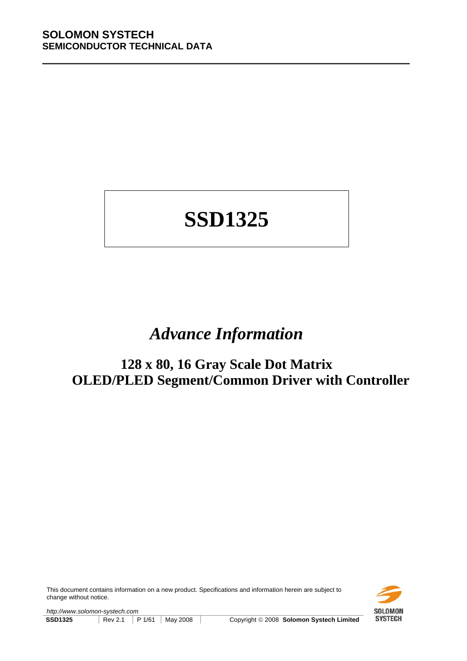# **SSD1325**

# *Advance Information*

# **128 x 80, 16 Gray Scale Dot Matrix OLED/PLED Segment/Common Driver with Controller**

This document contains information on a new product. Specifications and information herein are subject to change without notice.

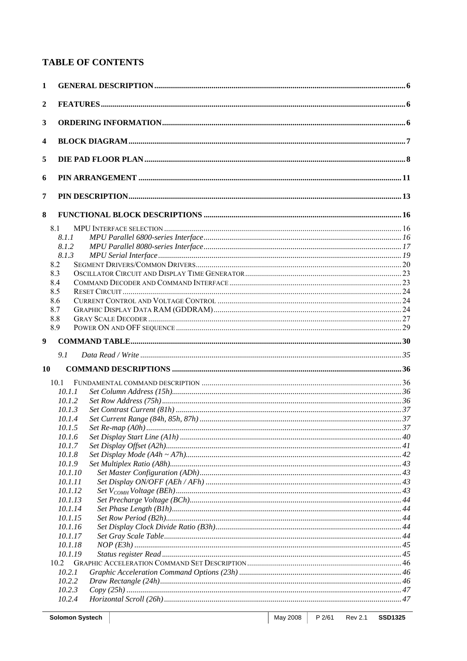# **TABLE OF CONTENTS**

| $\mathbf{1}$            |                  |  |
|-------------------------|------------------|--|
| $\boldsymbol{2}$        |                  |  |
| 3                       |                  |  |
| $\overline{\mathbf{4}}$ |                  |  |
| 5                       |                  |  |
| 6                       |                  |  |
| 7                       |                  |  |
| 8                       |                  |  |
|                         | 8.1              |  |
|                         | 8.1.1            |  |
|                         | 8.1.2            |  |
|                         | 8.1.3            |  |
|                         | 8.2              |  |
|                         | 8.3              |  |
|                         | 8.4              |  |
|                         | 8.5              |  |
|                         | 8.6              |  |
|                         | 8.7              |  |
|                         | 8.8              |  |
|                         | 8.9              |  |
| 9                       |                  |  |
|                         |                  |  |
|                         | 9.1              |  |
| 10                      |                  |  |
|                         | 10.1             |  |
|                         | 10.1.1           |  |
|                         | 10.1.2           |  |
|                         | 10.1.3           |  |
|                         | 10.1.4           |  |
|                         | 10.1.5           |  |
|                         | 10.1.6           |  |
|                         | 10.1.7           |  |
|                         | 10.1.8           |  |
|                         | 10.1.9           |  |
|                         | 10.1.10          |  |
|                         | 10.1.11          |  |
|                         | 10.1.12          |  |
|                         | 10.1.13          |  |
|                         | 10.1.14          |  |
|                         | 10.1.15          |  |
|                         | 10.1.16          |  |
|                         | 10.1.17          |  |
|                         | 10.1.18          |  |
|                         | 10.1.19          |  |
|                         | 10.2             |  |
|                         | 10.2.1           |  |
|                         | 10.2.2           |  |
|                         | 10.2.3<br>10.2.4 |  |

ı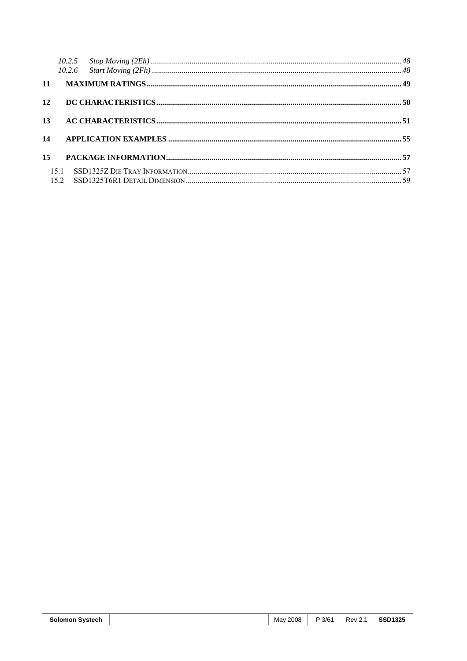| 11               |     |  |
|------------------|-----|--|
| 12               |     |  |
| 13 <sup>7</sup>  |     |  |
| 14               |     |  |
| 15 <sub>15</sub> |     |  |
|                  | 151 |  |
|                  | 152 |  |

I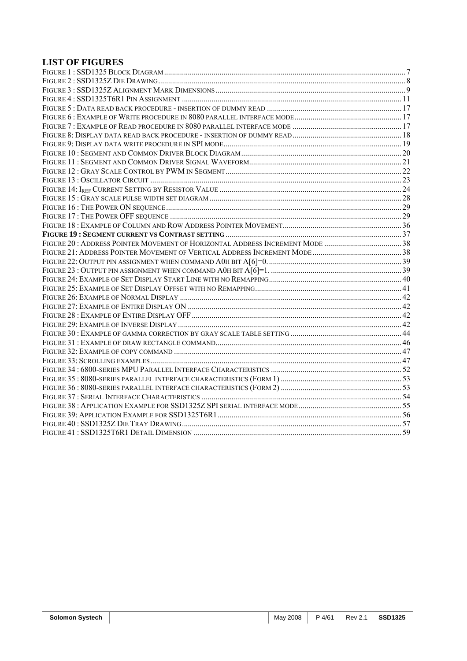# **LIST OF FIGURES**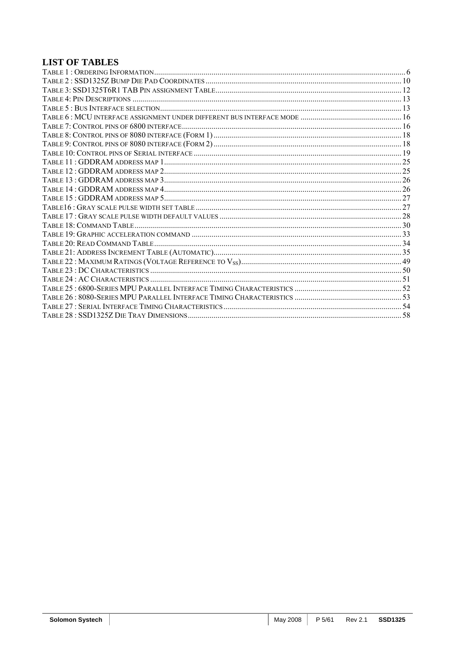# **LIST OF TABLES**

ı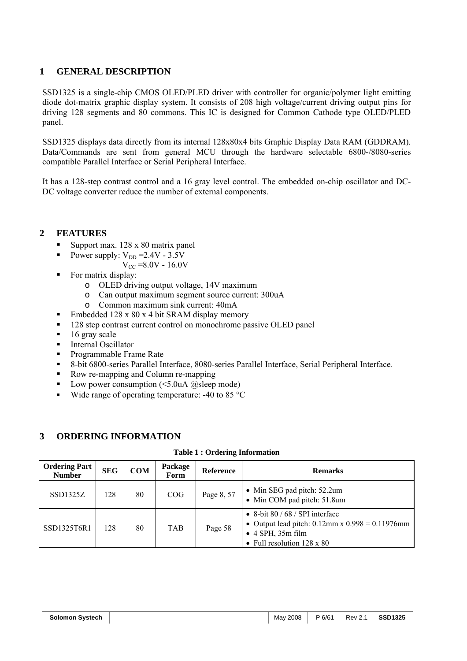# <span id="page-9-0"></span>**1 GENERAL DESCRIPTION**

SSD1325 is a single-chip CMOS OLED/PLED driver with controller for organic/polymer light emitting diode dot-matrix graphic display system. It consists of 208 high voltage/current driving output pins for driving 128 segments and 80 commons. This IC is designed for Common Cathode type OLED/PLED panel.

SSD1325 displays data directly from its internal 128x80x4 bits Graphic Display Data RAM (GDDRAM). Data/Commands are sent from general MCU through the hardware selectable 6800-/8080-series compatible Parallel Interface or Serial Peripheral Interface.

It has a 128-step contrast control and a 16 gray level control. The embedded on-chip oscillator and DC-DC voltage converter reduce the number of external components.

# **2 FEATURES**

- Support max. 128 x 80 matrix panel
- Power supply:  $V_{DD} = 2.4V 3.5V$

$$
V_{\rm CC} = 8.0 \text{V} - 16.0 \text{V}
$$

- For matrix display:
	- o OLED driving output voltage, 14V maximum
	- o Can output maximum segment source current: 300uA
	- o Common maximum sink current: 40mA
- Embedded 128 x 80 x 4 bit SRAM display memory
- 128 step contrast current control on monochrome passive OLED panel
- $\blacksquare$  16 gray scale
- **Internal Oscillator**
- Programmable Frame Rate
- 8-bit 6800-series Parallel Interface, 8080-series Parallel Interface, Serial Peripheral Interface.
- Row re-mapping and Column re-mapping
- Low power consumption  $(\leq 5.0$ uA @sleep mode)
- Wide range of operating temperature:  $-40$  to 85 °C

# **3 ORDERING INFORMATION**

**Table 1 : Ordering Information** 

| <b>Ordering Part</b><br><b>Number</b> | <b>SEG</b> | <b>COM</b> | Package<br>Form | <b>Reference</b> | <b>Remarks</b>                                                                                                                                               |
|---------------------------------------|------------|------------|-----------------|------------------|--------------------------------------------------------------------------------------------------------------------------------------------------------------|
| SSD1325Z                              | 128        | 80         | COG             | Page 8, 57       | • Min SEG pad pitch: 52.2um<br>• Min COM pad pitch: 51.8um                                                                                                   |
| SSD1325T6R1                           | 128        | 80         | <b>TAB</b>      | Page 58          | • 8-bit $80 / 68 / SPI$ interface<br>• Output lead pitch: $0.12$ mm x $0.998 = 0.11976$ mm<br>$\bullet$ 4 SPH, 35m film<br>• Full resolution $128 \times 80$ |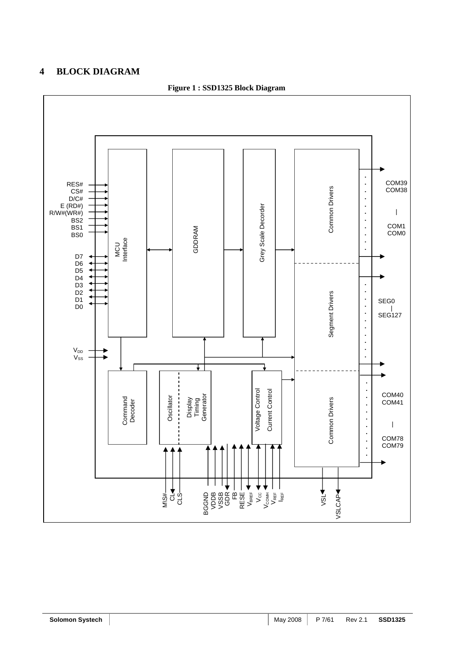# <span id="page-10-0"></span>**4 BLOCK DIAGRAM**



**Figure 1 : SSD1325 Block Diagram**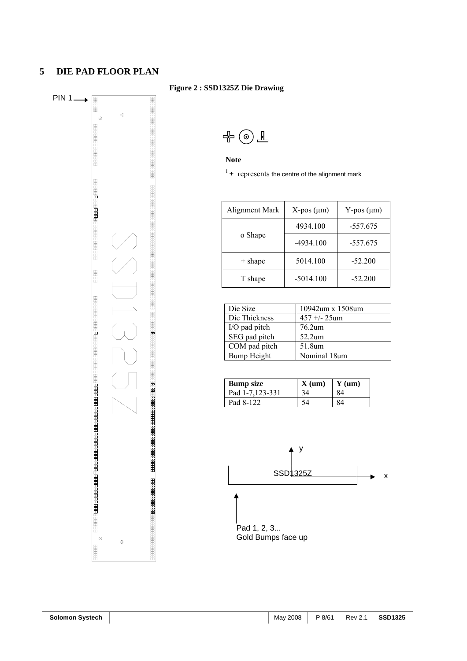## <span id="page-11-0"></span>**5 DIE PAD FLOOR PLAN**



### **Figure 2 : SSD1325Z Die Drawing**



#### **Note**

<sup>1</sup>**+** represents the centre of the alignment mark

| Alignment Mark | $X-pos(\mu m)$ | $Y-pos(\mu m)$ |
|----------------|----------------|----------------|
|                | 4934.100       | $-557.675$     |
| o Shape        | $-4934.100$    | $-557.675$     |
| $+$ shape      | 5014.100       | $-52.200$      |
| T shape        | $-5014.100$    | $-52.200$      |

| Die Size           | 10942um x 1508um |
|--------------------|------------------|
| Die Thickness      | $457 + - 25$ um  |
| I/O pad pitch      | 76.2um           |
| SEG pad pitch      | $52.2$ um        |
| COM pad pitch      | 51.8um           |
| <b>Bump Height</b> | Nominal 18um     |

| <b>Bump size</b> | $\mathbf{X}$ (um) | $Y$ (um) |
|------------------|-------------------|----------|
| Pad 1-7,123-331  | 34                | 84       |
| Pad 8-122        |                   | 84       |

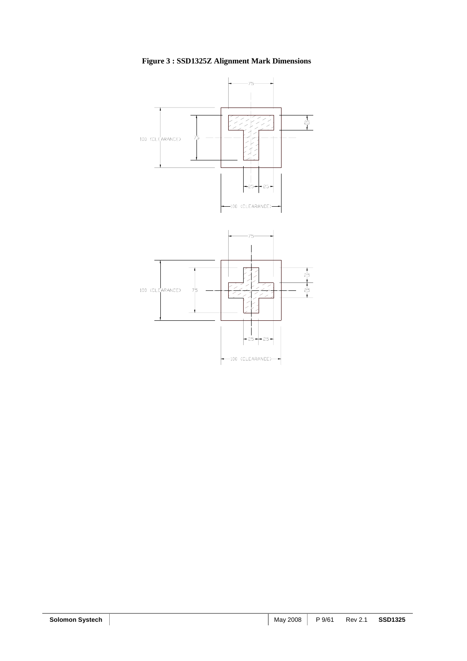<span id="page-12-0"></span>

**Figure 3 : SSD1325Z Alignment Mark Dimensions**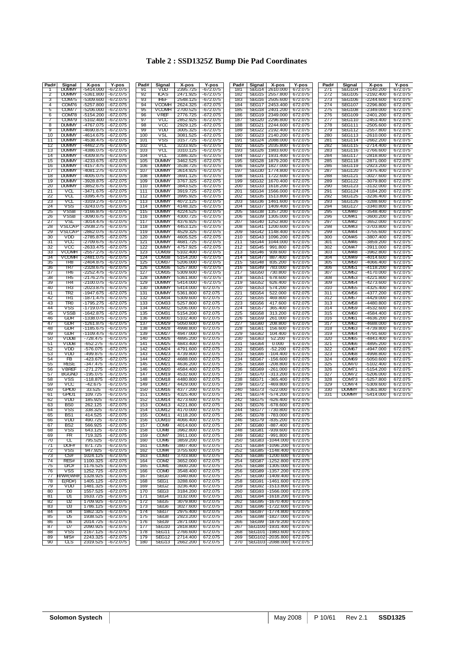### **Table 2 : SSD1325Z Bump Die Pad Coordinates**

<span id="page-13-0"></span>

| Pad#       | Signal                   | $X-pos$                                          | Y-pos                | Pad#       | Signal                                 | X-pos                | Y-pos                  | Pad#       |                   | Signal X-pos                         | Y-pos              | Pad#       | Signal                         | X-pos                  | $Y-pos$            |
|------------|--------------------------|--------------------------------------------------|----------------------|------------|----------------------------------------|----------------------|------------------------|------------|-------------------|--------------------------------------|--------------------|------------|--------------------------------|------------------------|--------------------|
| 1          | <b>DUMMY</b>             | -5414.000                                        | -672.075             | 91         | VDD                                    | 2395.725             | -672.075               | 181        | SEG14             | 2610.000                             | 672.075            | 271        | <b>SEG104</b>                  | -2140.200              | 672.075            |
| 2          | <b>DUMMY</b>             | -5361.800                                        | -672.075             | 92         | <b>ICAS</b>                            | 2471.925             | -672.075               | 182        |                   | SEG15 2557.800                       | 672.075            | 272        | <b>SEG105</b>                  | -2192.400              | 672.075            |
| 3          | COM75                    | -5309.600                                        | -672.075             | 93         | <b>TREF</b>                            | 2548.125             | $-672.075$             | 183        |                   | SEG16   2505.600                     | 672.075            | 273        | <b>SEG106</b>                  | -2244.600              | 672.075            |
| 4          | COM76                    | $-5257.800$                                      | $-672.075$           | 94         | VCOMH                                  | 2624.325             | -672.075               | 184        |                   | SEG17   2453.400                     | 672.075            | 274        | <b>SEG107</b>                  | -2296.800              | 672.075            |
| 5          | COM77                    | -5206.000                                        | -672.075             | 95         | VCOMH                                  | 2700.525             | -672.075               | 185        |                   | SEG18 2401.200                       | 672.075            | 275        | <b>SEG108</b>                  | -2349.000              | 672.075            |
| 6          | COM78                    | -5154.200                                        | -672.075             | 96         | VREF                                   | 2776.725             | -672.075               | 186        |                   | SEG19 2349.000                       | 672.075            | 276        | <b>SEG109</b>                  | -2401.200              | 672.075            |
| $\epsilon$ | COM79                    | -5102.400                                        | -672.075             | 97         | <b>ACC</b>                             | 2852.925             | -672.075               | 187        |                   | SEG20 2296.800                       | 672.075            | 277        | <b>SEG110</b>                  | -2453.400              | 672.075            |
| 8          | <b>DUMMY</b>             | -4767.075                                        | -672.075             | 98         | VCC                                    | 2929.125             | -672.075               | 188        |                   | SEG21 2244.600                       | 672.075            | 278        | <b>SEG111</b>                  | -2505.600              | 672.075            |
| 9          | <b>DUMMY</b>             | -4690.875                                        | -672.075             | 99         | VDD                                    | 3005.325             | $-672.075$             | 189        |                   | SEG22 2192.400                       | 672.075            | 279        | <b>SEG112</b>                  | -2557.800              | 672.075            |
| 10         | <b>DUMMY</b>             | -4614.675                                        | -672.075             | 100        | VSL                                    | 3081.525             | -672.075               | 190        |                   | SEG23   2140.200                     | 672.075            | 280        | <b>SEG113</b>                  | -2610.000              | 672.075            |
| 11         | <b>DUMMY</b>             | -4538.475 -672.075                               |                      | 101        | VSS                                    | 3157.725             | -672.075               | 191        |                   | SEG24 2088.000                       | 672.075            | 281        | <b>SEG114</b>                  | -2662.200              | 672.075            |
| 12         | <b>DUMMY</b>             | $-4462.275$                                      | -672.075             | 102        | VCL                                    | 3233.925             | -672.075               | 192        |                   | SEG25 2035.800                       | 672.075            | 282        | <b>SEG115</b>                  | -2714.400              | 672.075            |
| 13         | <b>DUMMY</b>             | -4386.075                                        | -672.075             | 103        | VCL                                    | 3310.125             | -672.075               | 193        | SEG <sub>26</sub> | 1983.600                             | 672.075            | 283        | <b>SEG116</b>                  | -2766.600              | 672.075            |
| 14         | <b>DUMMY</b>             | -4309.875                                        | -672.075             | 104        | VCL                                    | 3386.325             | -672.075               | 194        | SEG27             | 1931.400                             | 672.075            | 284        | <b>SEG117</b>                  | -2818.800              | 672.075            |
| 15         | <b>DUMMY</b>             | -4233.675                                        | -672.075             | 105        | <b>DUMMY</b>                           | 3462.525             | -672.075               | 195        |                   | SEG28 1879.200                       | 672.075            | 285        | <b>SEG118</b>                  | -2871.000              | 672.075            |
| 16         | <b>DUMMY</b>             | -4157.475                                        | -672.075             | 106        | <b>DUMMY</b>                           | 3538.725             | -672.075               | 196        |                   | SEG29 1827.000                       | 672.075            | 286        | <b>SEG119</b>                  | -2923.200              | 672.075            |
| 17         | <b>DUMMY</b>             | -4081.275                                        | -672.075             | 107        | <b>DUMMY</b>                           | 3614.925             | -672.075               | 197        |                   | SEG30 1774.800                       | 672.075            | 287        | <b>SEG120</b>                  | -2975.400              | 672.075            |
| 18         | <b>DUMMY</b>             | -4005.075                                        | $-672.075$           | 108        | <b>DUMMY</b>                           | 3691.125             | $-672.075$             | 198        |                   | SEG31 1722.600                       | 672.075            | 288        | <b>SEG121</b>                  | -3027.600              | 672.075            |
| 19         | <b>DUMMY</b>             | -3928.875                                        | -672.075             | 109        | <b>DUMMY</b><br><b>DUMMY</b>           | 3767.325<br>3843.525 | -672.075               | 199        | SEG32             | 1670.400                             | 672.075            | 289        | <b>SEG122</b>                  | -3079.800              | 672.075            |
| 20         | <b>DUMMY</b>             | -3852.675                                        | -672.075             | 110        |                                        |                      | -672.075               | 200        | SEG33             | 1618.200<br>SEG34 1566.000           | 672.075            | 290        | <b>SEG123</b>                  | -3132.000              | 672.075            |
| 21<br>22   | VCL                      | $-3471.675$ $-672.075$<br>$-3395.475$ $-672.075$ |                      | 111<br>112 | <b>DUMMY</b><br><b>DUMMY</b>           | 3919.725             | $-672.075$             | 201<br>202 |                   |                                      | 672.075            | 291<br>292 | <b>SEG124</b>                  | -3184.200              | 672.075            |
| 23         | <b>ACL</b><br><b>ACL</b> | -3319.275   -672.075                             |                      | 113        | <b>DUMMY</b>                           | 3995.925<br>4072.125 | $-672.075$<br>-672.075 | 203        |                   | SEG35   1513.800<br>SEG36   1461.600 | 672.075<br>672.075 | 293        | <b>SEG125</b><br><b>SEG126</b> | -3236.400<br>-3288.600 | 672.075<br>672.075 |
| 24         | vss                      | -3243.075                                        | -672.075             | 114        | <b>DUMMY</b>                           | 4148.325             | -672.075               | 204        | SEG37             | 1409.400                             | 672.075            | 294        | SEG127                         | -3340.800              | 672.075            |
| 25         | VSSB                     | -3166.875                                        | -672.075             | 115        | <b>DUMMY</b>                           | 4224.525             | -672.075               | 205        |                   | SEG38   1357.200                     | 672.075            | 295        | COM40                          | -3548.400              | 672.075            |
| 26         | VSSB                     | -3090.675                                        | -672.075             | 116        | <b>DUMMY</b>                           | 4300.725             | -672.075               | 206        | SEG39             | 1305.000                             | 672.075            | 296        | COM <sub>41</sub>              | -3600.200              | 672.075            |
| 27         | VSL                      | -3014.475                                        | -672.075             | 117        | <b>DUMMY</b>                           | 4376.925             | -672.075               | 207        | SEG40             | 1252.800                             | 672.075            | 297        | COM42                          | -3652.000              | 672.075            |
| 28         | VSLCAF                   | -2938.275                                        | -672.075             | 118        | <b>DUMMY</b>                           | 4453.125             | -672.075               | 208        |                   | SEG41 1200.600                       | 672.075            | 298        | COM43                          | -3703.800              | 672.075            |
| 29         | VSLCAF                   | -2862.075                                        | -672.075             | 119        | <b>DUMMY</b>                           | 4529.325             | -672.075               | 209        |                   | SEG42   1148.400                     | 672.075            | 299        | COM44                          | -3755.600              | 672.075            |
| 30         | VDD                      | -2785.875                                        | -672.075             | 120        | <b>DUMMY</b>                           | 4605.525             | -672.075               | 210        |                   | SEG43 1096.200                       | 672.075            | 300        | COM45                          | -3807.400              | 672.075            |
| 31         | vcc                      | -2709.675                                        | -672.075             | 121        | <b>DUMMY</b>                           | 4681.725             | -672.075               | 211        | SEG44             | 1044.000                             | 672.075            | 301        | COM46                          | -3859.200              | 672.075            |
| 32         | VCC                      | -2633.475                                        | -672.075             | 122        | <b>DUMMY</b>                           | 4757.925             | -672.075               | 212        | SEG45             | 991.800                              | 672.075            | 302        | COM <sub>47</sub>              | -3911.000              | 672.075            |
| 33         | VCOMH                    | -2557.275                                        | -672.075             | 123        | COM39                                  | 5102.400             | -672.075               | 213        | SEG46             | 939.600                              | 672.075            | 303        | COM48                          | -3962.800              | 672.075            |
| 34         | <b>VCOMH</b>             | -2481.075                                        | $-672.075$           | 124        | COM38                                  | 5154.200             | $-672.075$             | 214        | SEG47             | 887.400                              | 672.075            | 304        | COM49                          | -4014.600              | 672.075            |
| 35         | TR8                      | $-2404.875$ $-672.075$                           |                      | 125        | COM37                                  | 5206.000             | -672.075               | 215        | SEG48             | 835.200                              | 672.075            | 305        | COM50                          | -4066.400              | 672.075            |
| 36         | TR7                      | -2328.675                                        | $-672.075$           | 126        | COM36                                  | 5257.800             | $-672.075$             | 216        | SEG49             | 783.000                              | 672.075            | 306        | COM51                          | -4118.200              | 672.075            |
| 37         | TR6                      | -2252.475                                        | -672.075             | 127        | COM35                                  | 5309.600             | -672.075               | 217        | SEG50             | 730.800                              | 672.075            | 307        | COM <sub>52</sub>              | -4170.000              | 672.075            |
| 38         | TR5                      | -2176.275                                        | -672.075             | 128        | <b>DUMMY</b>                           | 5361.800             | -672.075               | 218        | SEG51             | 678.600                              | 672.075            | 308        | COM <sub>53</sub>              | -4221.800              | 672.075            |
| 39         | TR4                      | -2100.075                                        | -672.075             | 129        | <b>DUMMY</b>                           | 5414.000             | -672.075               | 219        | SEG52             | 626.400                              | 672.075            | 309        | COM54                          | -4273.600              | 672.075            |
| 40         | TR3                      | -2023.875                                        | -672.075             | 130        | <b>DUMMY</b>                           | 5414.000             | 672.075                | 220        | SEG53             | 574.200                              | 672.075            | 310        | COM <sub>55</sub>              | -4325.400              | 672.075            |
| 41         | TR2                      | -1947.675                                        | -672.075             | 131        | <b>DUMMY</b>                           | 5361.800             | 672.075                | 221        | SEG54             | 522.000                              | 672.075            | 311        | COM <sub>56</sub>              | -4377.200              | 672.075            |
| 42         | TR1                      | $-1871.475$                                      | -672.075             | 132        | COM34                                  | 5309.600             | 672.075                | 222        | SEG55             | 469.800                              | 672.075            | 312        | COM <sub>57</sub>              | -4429.000              | 672.075            |
| 43         | TR0                      | -1795.275                                        | $-672.075$           | 133        | COM33                                  | 5257.800             | 672.075                | 223        | SEG56             | 417.600                              | 672.075            | 313        | COM <sub>58</sub>              | -4480.800              | 672.075            |
| 44         | VSS                      | -1719.075                                        | -672.075             | 134        | COM32                                  | 5206.000             | 672.075                | 224        | SEG57             | 365.400                              | 672.075            | 314        | COM <sub>59</sub>              | -4532.600              | 672.075            |
| 45         | VSSB                     | -1642.875                                        | -672.075             | 135        | COM31                                  | 5154.200             | 672.075                | 225        | SEG58             | 313.200                              | 672.075            | 315        | COM60                          | -4584.400              | 672.075            |
| 46         | GDR                      | $-1338.075$ $-672.075$                           |                      | 136        | COM30                                  | 5102.400             | 672.075                | 226        | SEG59             | 261.000                              | 672.075            | 316        | COM61                          | -4636.200              | 672.075            |
| 47         | <b>GDR</b>               | $-1261.875$ $-672.075$                           |                      | 137        | COM <sub>29</sub>                      | 5050.600             | 672.075                | 227        | SEG60             | 208.800                              | 672.075            | 317        | COM62                          | -4688.000              | 672.075            |
| 48         | <b>GDR</b>               | -1185.675                                        | $-672.075$           | 138        | COM <sub>28</sub>                      | 4998.800             | 672.075                | 228        | SEG61             | 156.600                              | 672.075            | 318        | COM63                          | -4739.800              | 672.075            |
| 49         | GDR                      | $-1109.475$                                      | -672.075             | 139        | COM <sub>27</sub>                      | 4947.000             | 672.075                | 229        | SEG62             | 104.400                              | 672.075            | 319        | COM64                          | -4791.600              | 672.075            |
| 50         | VDDB                     | -728.475                                         | -672.075             | 140        | COM <sub>26</sub>                      | 4895.200             | 672.075                | 230        | SEG63             | 52.200                               | 672.075            | 320        | COM65                          | -4843.400              | 672.075            |
| 51         | VDDB                     | -652.275                                         | -672.075             | 141        | COM <sub>25</sub>                      | 4843.400             | 672.075                | 231        | SEG64             | 0.000                                | 672.075            | 321        | COM66                          | -4895.200              | 672.075            |
| 52         | VDD                      | -576.075                                         | -672.075             | 142        | COM <sub>24</sub>                      | 4791.600             | 672.075                | 232        | SEG65             | -52.200                              | 672.075            | 322        | COM67                          | -4947.000              | 672.075            |
| 53         | VDD                      | -499.875                                         | -672.075             | 143        | COM <sub>23</sub>                      | 4739.800             | 672.075                | 233        | SEG66             | $-104.400$                           | 672.075            | 323        | COM68                          | -4998.800              | 672.075            |
| 54         | FB                       | -423.675                                         | -672.075             | 144        | COM <sub>22</sub>                      | 4688.000             | 672.075                | 234        | SEG67             | $-156.600$                           | 672.075            | 324        | COM69                          | -5050.600              | 672.075            |
| 55         | <b>RESE</b>              | -347.475                                         | -672.075             | 145        | COM <sub>21</sub>                      | 4636.200             | 672.075                | 235        | SEG68             | $-208.800$                           | 672.075            | 325        | COM70                          | -5102.400              | 672.075            |
| 56         | VBREF                    | -271.275                                         | -672.075             | 146        | COM <sub>20</sub>                      | 4584.400             | 672.075                | 236        | SEG69             | $-261.000$                           | 672.075            | 326        | COM71                          | -5154.200              | 672.075            |
| 57         | <b>BGGND</b>             | -195.075                                         | -672.075             | 147        | COM <sub>19</sub>                      | 4532.600             | 672.075                | 237        | SEG70             | -313.200                             | 672.075            | 327        | COM72                          | -5206.000              | 672.075            |
| 58<br>59   | vss<br>VCC               | -118.875<br>-42.675                              | -672.075<br>-672.075 | 148<br>149 | COM <sub>18</sub><br>COM <sub>17</sub> | 4480.800<br>4429.000 | 672.075<br>672.075     | 238<br>239 | SEG71<br>SEG72    | -365.400<br>-469.800                 | 672.075<br>672.075 | 328<br>329 | COM73<br>COM74                 | -5257.800<br>-5309.600 | 672.075<br>672.075 |
|            |                          |                                                  |                      |            |                                        |                      |                        |            |                   |                                      |                    |            |                                |                        |                    |
| 60<br>61   | GPIO0<br>GPIO1           | 33.525<br>109.725                                | -672.075<br>-672.075 | 150<br>151 | COM <sub>16</sub><br>COM <sub>15</sub> | 4377.200<br>4325.400 | 672.075<br>672.075     | 240<br>241 | SEG73<br>SEG74    | -522.000<br>-574.200                 | 672.075<br>672.075 | 330<br>331 | <b>DUMMY</b><br><b>DUMMY</b>   | -5361.800<br>-5414.000 | 672.075<br>672.075 |
| 62         | VDD                      | 185.925                                          | -672.075             | 152        | COM14                                  | 4273.600             | 672.075                | 242        | SEG75             | -626.400                             | 672.075            |            |                                |                        |                    |
| 63         | BS <sub>0</sub>          | 262.125                                          | $-672.075$           | 153        | COM <sub>13</sub>                      | 4221.800             | 672.075                | 243        | SEG76             | -678.600                             | 672.075            |            |                                |                        |                    |
| 64         | vss                      | 338.325                                          | -672.075             | 154        | COM <sub>12</sub>                      | 4170.000             | 672.075                | 244        | SEG77             | -730.800                             | 672.075            |            |                                |                        |                    |
| 65         | BS1                      | 414.525                                          | -672.075             | 155        | COM11                                  | 4118.200             | 672.075                | 245        | SEG78             | $-783.000$                           | 672.075            |            |                                |                        |                    |
| 66         | VDD                      | 490.725                                          | -672.075             | 156        | COM <sub>10</sub>                      | 4066.400             | 672.075                | 246        | SEG79             | -835.200                             | 672.075            |            |                                |                        |                    |
| 67         | BS2                      | 566.925                                          | -672.075             | 157        | COM <sub>3</sub>                       | 4014.600             | 672.075                | 247        | SEG80             | $-887.400$                           | 672.075            |            |                                |                        |                    |
| 68         | vss                      | 643.125                                          | -672.075             | 158        | COM <sub>8</sub>                       | 3962.800             | 672.075                | 248        |                   | SEG81 -939.600                       | 672.075            |            |                                |                        |                    |
| 69         | FR                       | 719.325                                          | -672.075             | 159        | COM7                                   | 3911.000             | 672.075                | 249        |                   | SEG82 -991.800 672.075               |                    |            |                                |                        |                    |
| 70         | CL                       | 795.525                                          | -672.075             | 160        | COM <sub>6</sub>                       | 3859.200             | 672.075                | 250        |                   | SEG83 1-1044.0001 672.075            |                    |            |                                |                        |                    |
| 71         | DOF#                     | 871.725                                          | -672.075             | 161        | COM <sub>5</sub>                       | 3807.400             | 672.075                | 251        |                   | SEG84 -1096.200 672.075              |                    |            |                                |                        |                    |
| 72         | vss                      | 947.925                                          | -672.075             | 162        | COM <sub>4</sub>                       | 3755.600             | 672.075                | 252        |                   | SEG85 -1148.400                      | 672.075            |            |                                |                        |                    |
| 73         | CS#                      | 1024.125                                         | $-672.075$           | 163        | COM3                                   | 3703.800             | 672.075                | 253        |                   | SEG86 -1200.600 672.075              |                    |            |                                |                        |                    |
| 74         | RES#                     | 1100.325                                         | -672.075             | 164        | COM <sub>2</sub>                       | 3652.000             | 672.075                | 254        |                   | SEG87 -1252.800                      | 672.075            |            |                                |                        |                    |
| 75         | D/C#                     | 1176.525                                         | -672.075             | 165        | COM1                                   | 3600.200             | 672.075                | 255        |                   | SEG88 -1305.000                      | 672.075            |            |                                |                        |                    |
| 76         | VSS                      | 1252.725                                         | -672.075             | 166        | COM <sub>0</sub>                       | 3548.400             | 672.075                | 256        |                   | SEG89 -1357.200                      | 672.075            |            |                                |                        |                    |
| 77         | ∛W#(WR                   | 1328.925                                         | -672.075             | 167        | SEG0                                   | 3340.800             | 672.075                | 257        |                   | SEG90 -1409.400                      | 672.075            |            |                                |                        |                    |
| 78         | E(RD#)                   | 1405.125                                         | -672.075             | 168        | SEG1                                   | 3288.600             | 672.075                | 258        |                   | SEG91 -1461.600                      | 672.075            |            |                                |                        |                    |
| -79        | VDD                      | 1481.325                                         | -672.075             | 169        | SEG <sub>2</sub>                       | 3236.400             | 672.075                | 259        |                   | SEG92 1-1513.800                     | 672.075            |            |                                |                        |                    |
| -80        | D0                       | 1557.525                                         | -672.075             | 170        | SEG3                                   | 3184.200             | 672.075                | 260        |                   | SEG93 -1566.000                      | 672.075            |            |                                |                        |                    |
| 81         | D1                       | 1633.725                                         | -672.075             | 171        | SEG4                                   | 3132.000             | 672.075                | 261        |                   | SEG94 -1618.200                      | 672.075            |            |                                |                        |                    |
| 82         | D2                       | 1709.925                                         | -672.075             | 172        | SEG5                                   | 3079.800             | 672.075                | 262        |                   | SEG95 -1670.400                      | 672.075            |            |                                |                        |                    |
| 83         | D3                       | 1786.125                                         | -672.075             | 173        | SEG6                                   | 3027.600             | 672.075                | 263        |                   | SEG96 -1722.600                      | 672.075            |            |                                |                        |                    |
| 84         | D4                       | 1862.325                                         | $-672.075$           | 174        | SEG7                                   | 2975.400             | 672.075                | 264        |                   | SEG97 -1774.800                      | 672.075            |            |                                |                        |                    |
| 85         | D5                       | 1938.525                                         | -672.075             | 175        | SEG8                                   | 2923.200             | 672.075                | 265        |                   | SEG98 1-1827.000 672.075             |                    |            |                                |                        |                    |
| 86         | D6                       | 2014.725                                         | -672.075             | 176        | SEG9                                   | 2871.000             | 672.075                | 266        |                   | SEG99 -1879.200                      | 672.075            |            |                                |                        |                    |
| 87<br>88   | D7<br>vss                | 2090.925<br>2167.125                             | -672.075             | 177<br>178 | SEG10<br>SEG11                         | 2818.800<br>2766.600 | 672.075                | 267<br>268 |                   | SEG100 -1931.400<br>SEG1011-1983.600 | 672.075<br>672.075 |            |                                |                        |                    |
| 89         | M/S#                     | 2243.325                                         | -672.075<br>-672.075 | 179        | SEG <sub>12</sub>                      | 2714.400             | 672.075<br>672.075     | 269        |                   | SEG102 - 2035.800                    | 672.075            |            |                                |                        |                    |
| 90         | CLS                      | 2319.525                                         | -672.075             | 180        | SEG13                                  | 2662.200             | 672.075                | 270        |                   | SEG1031-2088.000                     | 672.075            |            |                                |                        |                    |
|            |                          |                                                  |                      |            |                                        |                      |                        |            |                   |                                      |                    |            |                                |                        |                    |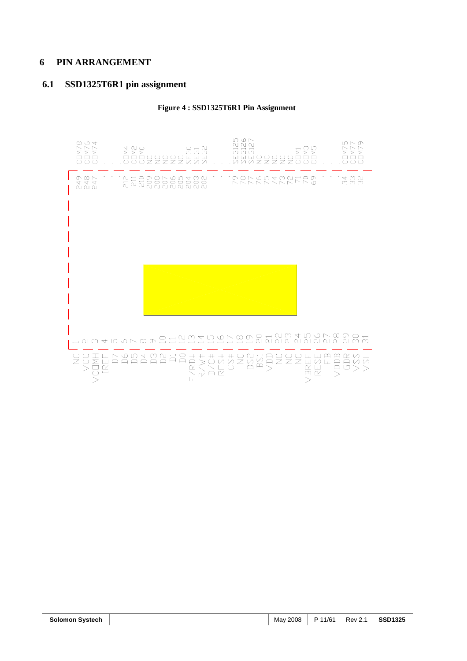### <span id="page-14-0"></span>**6 PIN ARRANGEMENT**

### **6.1 SSD1325T6R1 pin assignment**

CIN78<br>CIN76<br>CIN74 1995<br>1996<br>1997 CIM75<br>CIM77<br>CIM79 **COMS**<br>COMS<br>COMS  $\begin{array}{l} \Sigma\Sigma\Sigma\\ \Sigma\Sigma\Sigma\\ \Box\Box\Box\cup\cup\cup\cup\cup\cup\\ \Xi\Sigma\Sigma\Sigma\end{array}$ 2513<br>2513<br>2513 2487<br>2487<br>258 RRRRRRRRR<br>MARRANAN  $\begin{array}{c} 0.000 \\ 4.000 \end{array}$  $\stackrel{\small\cup}{\scriptstyle\sim}$ 

**Figure 4 : SSD1325T6R1 Pin Assignment**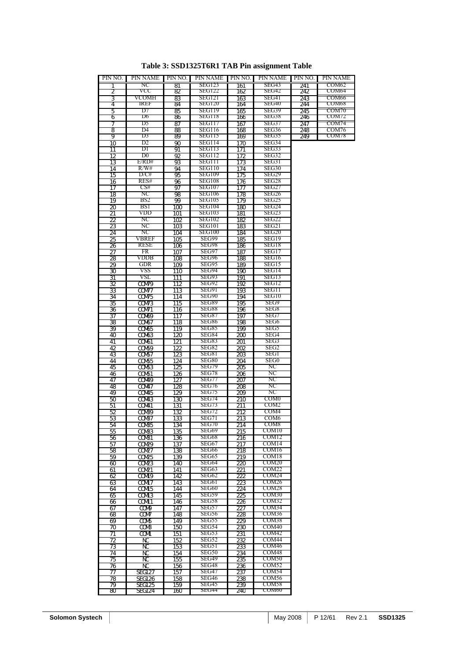<span id="page-15-0"></span>

| PIN NO.  | PIN NAME                               | PIN NO.    | PIN NAME                       | PIN NO.    | PIN NAME                     | PIN NO.    | PIN NAME       |
|----------|----------------------------------------|------------|--------------------------------|------------|------------------------------|------------|----------------|
| 2        | NU<br>vcc                              | 81<br>82   | <b>SEG125</b><br><b>SEG122</b> | 161<br>162 | <b>SEG45</b><br><b>SEG42</b> | 241<br>242 | COM62<br>COM64 |
| 3        | VCOMH                                  | 83         | <b>SEG121</b>                  | 163        | SEG41                        | 243        | COM66          |
| 4        | IREF                                   | 84         | <b>SEG120</b>                  | 164        | SEG40                        | 244        | COM68          |
| 5<br>6   | D7<br>D6                               | 85<br>86   | SEG119<br><b>SEG118</b>        | 165<br>166 | SEG39<br><b>SEG38</b>        | 245<br>246 | COM70<br>COM72 |
| 7        | D5                                     | 87         | SEG117                         | 167        | SEG37                        | 247        | COM / 4        |
| 8        | D4                                     | 88         | SEG116                         | 168        | SEG36                        | 248        | COM76          |
| 9<br>10  | D5<br>D2                               | 89<br>90   | SEGIIS<br>SEGI14               | 169<br>170 | <b>SEG35</b><br>SEG34        | 249        | COM78          |
| 11       | DΙ                                     | 91         | SEG113                         | 171        | SEG33                        |            |                |
| 12       | D <sub>0</sub>                         | 92         | SEG112                         | 172        | SEG32                        |            |                |
| 13       | E/RD#<br>R/W#                          | 93         | SEGIII                         | 173        | SEG31<br>SEG30               |            |                |
| 14<br>15 | D/C#                                   | 94<br>95   | <b>SEG110</b><br><b>SEG109</b> | 174<br>175 | SEG29                        |            |                |
| 16       | RES#                                   | 96         | <b>SEG108</b>                  | 176        | SEG28                        |            |                |
| 17       | CS#                                    | 97         | <b>SEG107</b>                  | 177        | SEG27                        |            |                |
| 18<br>19 | NC<br>BS2                              | 98<br>99   | <b>SEG106</b><br><b>SEG105</b> | 178<br>179 | SEG26<br>SEG25               |            |                |
| 20       | BSI                                    | 100        | <b>SEG104</b>                  | 180        | SEG24                        |            |                |
| 21       | VDD                                    | 101        | <b>SEG103</b>                  | 181        | SEG23                        |            |                |
| 22<br>23 | NC<br>NС                               | 102<br>103 | <b>SEG102</b><br>SEG101        | 182<br>183 | SEG22<br>SEG21               |            |                |
| 24       | NC                                     | 104        | <b>SEG100</b>                  | 184        | SEG20                        |            |                |
| 25       | VBREF                                  | 105        | <b>SEG99</b>                   | 185        | SEG19                        |            |                |
| 26<br>27 | RESE<br>FR                             | 106<br>107 | SEG98<br>SEG97                 | 186<br>187 | SEG18<br>SEG17               |            |                |
| 28       | VDDB                                   | 108        | SEG96                          | 188        | SEG16                        |            |                |
| 29       | GDR                                    | 109        | SEG95                          | 189        | SEG15                        |            |                |
| 30       | VSS<br>VSL                             | 110        | SEG94<br>SEG93                 | 190<br>191 | SEG14<br>SEG13               |            |                |
| 31<br>32 | COM <sub>19</sub>                      | 111<br>112 | SEG92                          | 192        | SEG12                        |            |                |
| 33       | COM <sub>7</sub>                       | 113        | SEG91                          | 193        | SEGII                        |            |                |
| 34       | COM <sub>5</sub>                       | 114        | SEG90<br>SEG89                 | 194        | SEG10<br>SEG9                |            |                |
| 35<br>36 | COM <sub>3</sub><br>COM <sub>1</sub>   | 115<br>116 | SEG88                          | 195<br>196 | SEG8                         |            |                |
| 37       | COM <sub>69</sub>                      | 117        | SEG87                          | 197        | SEG7                         |            |                |
| 38       | COM <sub>67</sub>                      | 118        | SEG86<br>SEG85                 | 198        | SEG6<br>SEG5                 |            |                |
| 39<br>40 | COM <sub>65</sub><br>COM <sub>63</sub> | 119<br>120 | SEG84                          | 199<br>200 | SEG4                         |            |                |
| 41       | COM <sub>61</sub>                      | 121        | SEG83                          | 201        | SEG3                         |            |                |
| 42       | COM <sub>59</sub>                      | 122        | SEG82                          | 202        | SEG2                         |            |                |
| 43<br>44 | COM <sub>57</sub><br>COM <sub>55</sub> | 123<br>124 | SEG81<br>SEG80                 | 203<br>204 | <b>SEGI</b><br>SEG0          |            |                |
| 45       | COM <sub>53</sub>                      | 125        | SEG79                          | 205        | NС                           |            |                |
| 46       | COM <sub>51</sub>                      | 126        | SEG78                          | 206        | NC<br>NC                     |            |                |
| 47<br>48 | COM <sub>49</sub><br>COM47             | 127<br>128 | SEG77<br>SEG76                 | 207<br>208 | NC                           |            |                |
| 49       | COM <sub>45</sub>                      | 129        | SEG75                          | 209        | NС                           |            |                |
| 50       | COM <sub>43</sub>                      | 130        | SEG74                          | 210        | COM0                         |            |                |
| 51<br>52 | COM <sub>41</sub><br>COMB <sub>9</sub> | 131<br>132 | SEG73<br>SEG72                 | 211<br>212 | COM2<br>COM4                 |            |                |
| 53       | COM <sub>87</sub>                      | 133        | SEG71                          | 213        | COM6                         |            |                |
| 54       | COM <sub>85</sub>                      | 134        | SEG70                          | 214        | COM8                         |            |                |
| 55<br>56 | COMB <sub>3</sub><br>COM <sub>31</sub> | 135<br>136 | SEG69<br>SEG68                 | 215<br>216 | COM10<br>COM12               |            |                |
| 57       | COM <sub>29</sub>                      | 137        | SEG67                          | 217        | COM14                        |            |                |
| 58       | COM27                                  | 138        | SEG66                          | 218        | COM16                        |            |                |
| 59<br>60 | COM <sub>25</sub><br>COM <sub>23</sub> | 139<br>140 | SEG65<br>SEG64                 | 219<br>220 | COM18<br>COM20               |            |                |
| 61       | COM <sub>21</sub>                      | 141        | SEG63                          | 221        | COM22                        |            |                |
| 62       | COM <sub>19</sub>                      | 142        | SEG62                          | 222        | COM24                        |            |                |
| 63<br>64 | COM17<br>COM <sub>5</sub>              | 143<br>144 | SEG61<br>SEG60                 | 223<br>224 | COM26<br>COM28               |            |                |
| 65       | COM <sub>13</sub>                      | 145        | SEG59                          | 225        | COM30                        |            |                |
| 66       | COM <sub>1</sub>                       | 146        | SEG58                          | 226        | COM32                        |            |                |
| 67<br>68 | <b>COV<sub>D</sub></b><br><b>COW</b>   | 147<br>148 | SEG57<br>SEG56                 | 227<br>228 | COM34<br>COM36               |            |                |
| 69       | COM <sub>5</sub>                       | 149        | SEG55                          | 229        | COM38                        |            |                |
| 70       | <b>COMB</b>                            | 150        | SEG54                          | 230        | COM40                        |            |                |
| 71<br>72 | COMI<br>NС                             | 151<br>152 | SEG53<br>SEG52                 | 231<br>232 | COM42<br>COM44               |            |                |
| 73       | NС                                     | 153        | SEG51                          | 233        | COM46                        |            |                |
| 74       | NС                                     | 154        | SEG50                          | 234        | COM48                        |            |                |
| 75<br>76 | <b>NC</b><br>NС                        | 155<br>156 | SEG49<br>SEG48                 | 235<br>236 | COM50<br>COM52               |            |                |
| 77       | <b>SEG127</b>                          | 157        | SEG47                          | 237        | COM54                        |            |                |
| 78       | <b>SEG126</b>                          | 158        | SEG46                          | 238        | COM56                        |            |                |
| 79<br>80 | <b>SEG125</b><br>SEG124                | 159<br>160 | SEG45<br>SEG44                 | 239<br>240 | COM58<br>COM60               |            |                |
|          |                                        |            |                                |            |                              |            |                |

### **Table 3: SSD1325T6R1 TAB Pin assignment Table**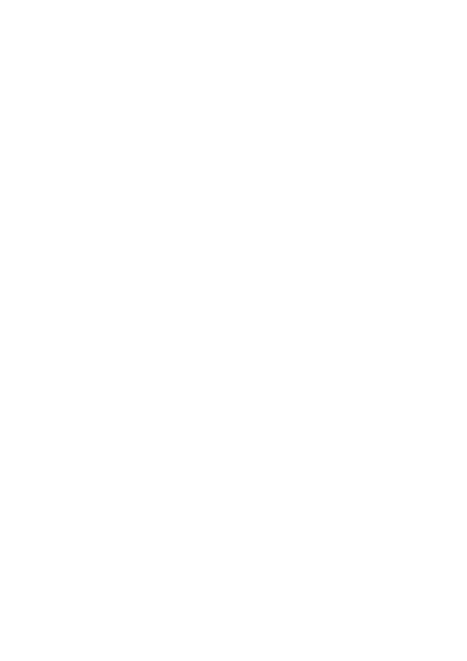# **TABLE OF CONTENTS**

| $\mathbf{1}$            |         |                                    |   |
|-------------------------|---------|------------------------------------|---|
| $\boldsymbol{2}$        |         |                                    |   |
| $\mathbf{3}$            |         |                                    |   |
| $\overline{\mathbf{4}}$ |         |                                    |   |
| 5                       |         |                                    |   |
|                         |         |                                    |   |
| 6                       |         |                                    |   |
| 7                       |         |                                    |   |
| 8                       |         |                                    |   |
|                         | 8.1     |                                    |   |
|                         | 8.1.1   |                                    |   |
|                         | 8.1.2   |                                    |   |
|                         | 8.1.3   |                                    |   |
|                         | 8.2     |                                    |   |
|                         | 8.3     |                                    |   |
|                         | 8.4     |                                    |   |
|                         | 8.5     |                                    |   |
|                         | 8.6     |                                    |   |
|                         | 8.7     |                                    |   |
|                         | 8.8     |                                    |   |
|                         | 8.9     |                                    |   |
| 9                       |         |                                    |   |
|                         | 9.1     |                                    |   |
| 10                      |         |                                    |   |
|                         |         |                                    |   |
|                         |         |                                    |   |
|                         | 10.1.1  |                                    |   |
|                         | 10.1.2  |                                    |   |
|                         | 10.1.3  |                                    |   |
|                         | 10.1.4  |                                    |   |
|                         | 10.1.5  |                                    |   |
|                         | 10.1.6  |                                    |   |
|                         | 10.1.7  |                                    |   |
|                         | 10.1.8  |                                    |   |
|                         | 10.1.9  |                                    |   |
|                         | 10.1.10 |                                    |   |
|                         | 10.1.11 |                                    |   |
|                         | 10.1.12 |                                    |   |
|                         | 10.1.13 |                                    |   |
|                         | 10.1.14 |                                    |   |
|                         | 10.1.15 |                                    |   |
|                         | 10.1.16 |                                    |   |
|                         | 10.1.17 |                                    |   |
|                         | 10.1.18 |                                    |   |
|                         | 10.1.19 |                                    |   |
|                         |         |                                    |   |
|                         |         |                                    |   |
|                         | 10.2.1  |                                    |   |
|                         | 10.2.2  |                                    |   |
|                         | 10.2.3  |                                    |   |
|                         | 10.2.4  |                                    |   |
|                         | Sount   | May 20<br>$ $ 26<br><b>Rev 2.1</b> | ъ |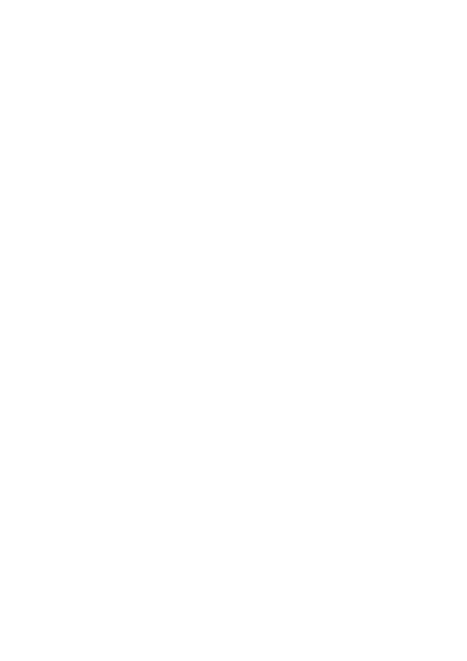| 15.1<br>152 |  |
|-------------|--|

I

I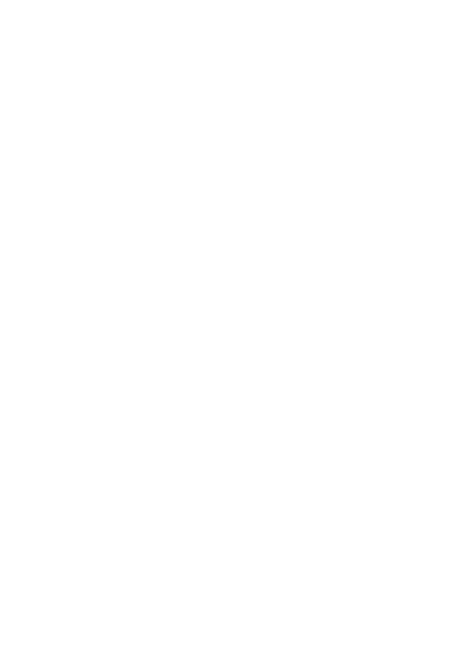# **LIST OF FIGURES**

I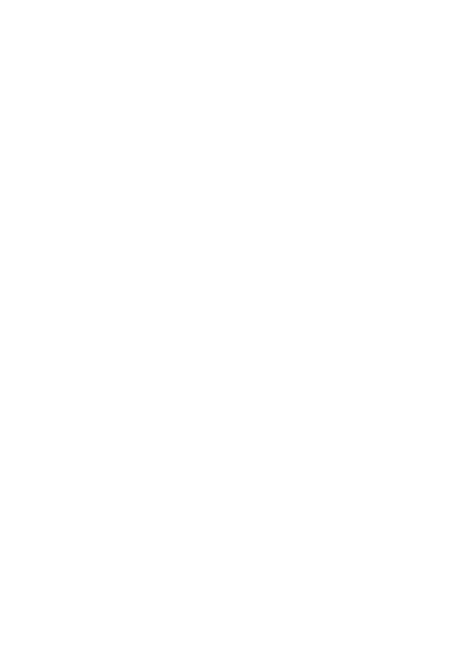# **LIST OF TABLES**

ı

 $\mathbf{I}$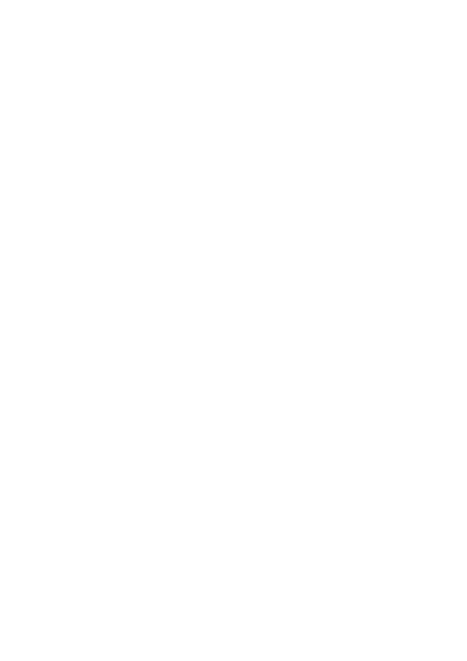#### $\mathbf{1}$ **GENERAL DESCRIPTION**

SSD1325 is a single-chip CMOS OLED/PLED driverith controller for organic/polymer light emitting diode dot-matrix graphic display system. It consists 208 high voltage/current driving output pins for driving 128 segments and 80 commons. This IG designed for Common Cathode type OLED/PLED panel.

SSD1325 displays data directly from its internates and bits Graphic Display Data RAM (GDDRAM). Data/Commands are sent from general MCU dugh the hardware selectable 6800-/8080-series compatible Parallel Interface or Serial Peripheral Interface.

It has a 128-step contrast control and a 16 grawth control. The embedded on-chip oscillator and DC-DC voltage converter reduce the number of external components.

#### $\mathfrak{D}$ **FEATURES**

Support max. 128 x 80 matrix panel Power supply:  $V_{\text{D}} = 2.4V - 3.5V$  $V_{CC} = 8.0V - 16.0V$ 

For matrix display:

- o OLED driving output voltage, 14V maximum
- $\mathsf{o}$ Can output maximum segment source current: 300uA
- **Common maximum sink current: 40mA**  $\Omega$

Embedded 128 x 80 x 4 bit SRAM display memory

128 step contrast current controh monochrome passive OLED panel

16 gray scale

**Internal Oscillator** 

**Programmable Frame Rate** 

8-bit 6800-series Parallel Interface, 8080-series Parallel Interface, Serial Peripheral Interface. Row re-mapping and Column re-mapping

Low power consumption (5.0uA seep mode)

Wide range of operating temperature: -40 to &

#### ORDERING INFORMATION  $\mathbf{3}$

| Ordering Part<br>Number | <b>SEG</b> | <b>COM</b> | Package<br>Form | Reference          | Remarks                                                                                                                                                   |
|-------------------------|------------|------------|-----------------|--------------------|-----------------------------------------------------------------------------------------------------------------------------------------------------------|
| <b>SSD1325Z</b>         | 128        | 80         | COG             | Page 8, 57         | x Min SEG pad pitch: 52.2um<br>x Min COM pad pitch: 51.8um                                                                                                |
| <b>SSD1325T6R1</b>      | 128        | 80         | <b>TAB</b>      | Page <sub>58</sub> | $\times$ 8-bit 80 / 68 / SPI interface<br>x Output lead pitch: $0.12$ mm x $0.998 = 0.11976$ mm<br>x 4 SPH, 35m film<br>$\times$ Full resolution 128 x 80 |